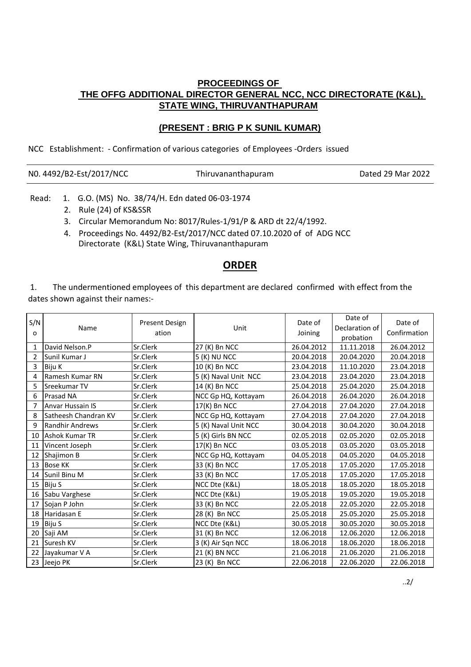## **PROCEEDINGS OF THE OFFG ADDITIONAL DIRECTOR GENERAL NCC, NCC DIRECTORATE (K&L), STATE WING, THIRUVANTHAPURAM**

## **(PRESENT : BRIG P K SUNIL KUMAR)**

NCC Establishment: - Confirmation of various categories of Employees -Orders issued

|  |  |  | NO. 4492/B2-Est/2017/NCC |
|--|--|--|--------------------------|
|--|--|--|--------------------------|

Thiruvananthapuram Dated 29 Mar 2022

- Read: 1. G.O. (MS) No. 38/74/H. Edn dated 06-03-1974
	- 2. Rule (24) of KS&SSR
	- 3. Circular Memorandum No: 8017/Rules-1/91/P & ARD dt 22/4/1992.
	- Directorate (K&L) State Wing, Thiruvananthapuram 4. Proceedings No. 4492/B2-Est/2017/NCC dated 07.10.2020 of of ADG NCC

## **ORDER**

 1. The undermentioned employees of this department are declared confirmed with effect from the dates shown against their names:-

| S/N<br>o        | Name                    | Present Design<br>ation | Unit                 | Date of<br>Joining | Date of<br>Declaration of<br>probation | Date of<br>Confirmation |
|-----------------|-------------------------|-------------------------|----------------------|--------------------|----------------------------------------|-------------------------|
| $\mathbf{1}$    | David Nelson.P          | Sr.Clerk                | 27 (K) Bn NCC        | 26.04.2012         | 11.11.2018                             | 26.04.2012              |
| $\overline{2}$  | Sunil Kumar J           | Sr.Clerk                | 5 (K) NU NCC         | 20.04.2018         | 20.04.2020                             | 20.04.2018              |
| 3               | Biju K                  | Sr.Clerk                | 10 (K) Bn NCC        | 23.04.2018         | 11.10.2020                             | 23.04.2018              |
| 4               | Ramesh Kumar RN         | Sr.Clerk                | 5 (K) Naval Unit NCC | 23.04.2018         | 23.04.2020                             | 23.04.2018              |
| 5               | Sreekumar TV            | Sr.Clerk                | 14 (K) Bn NCC        | 25.04.2018         | 25.04.2020                             | 25.04.2018              |
| 6               | Prasad NA               | Sr.Clerk                | NCC Gp HQ, Kottayam  | 26.04.2018         | 26.04.2020                             | 26.04.2018              |
| 7               | <b>Anvar Hussain IS</b> | Sr.Clerk                | 17(K) Bn NCC         | 27.04.2018         | 27.04.2020                             | 27.04.2018              |
| 8               | Satheesh Chandran KV    | Sr.Clerk                | NCC Gp HQ, Kottayam  | 27.04.2018         | 27.04.2020                             | 27.04.2018              |
| 9               | <b>Randhir Andrews</b>  | Sr.Clerk                | 5 (K) Naval Unit NCC | 30.04.2018         | 30.04.2020                             | 30.04.2018              |
| 10              | Ashok Kumar TR          | Sr.Clerk                | 5 (K) Girls BN NCC   | 02.05.2018         | 02.05.2020                             | 02.05.2018              |
| 11              | Vincent Joseph          | Sr.Clerk                | 17(K) Bn NCC         | 03.05.2018         | 03.05.2020                             | 03.05.2018              |
| 12              | Shajimon B              | Sr.Clerk                | NCC Gp HQ, Kottayam  | 04.05.2018         | 04.05.2020                             | 04.05.2018              |
| 13              | <b>Bose KK</b>          | Sr.Clerk                | 33 (K) Bn NCC        | 17.05.2018         | 17.05.2020                             | 17.05.2018              |
| 14              | Sunil Binu M            | Sr.Clerk                | 33 (K) Bn NCC        | 17.05.2018         | 17.05.2020                             | 17.05.2018              |
| 15              | Biju S                  | Sr.Clerk                | NCC Dte (K&L)        | 18.05.2018         | 18.05.2020                             | 18.05.2018              |
| 16 <sup>1</sup> | Sabu Varghese           | Sr.Clerk                | NCC Dte (K&L)        | 19.05.2018         | 19.05.2020                             | 19.05.2018              |
| 17              | Sojan P John            | Sr.Clerk                | 33 (K) Bn NCC        | 22.05.2018         | 22.05.2020                             | 22.05.2018              |
| 18              | Haridasan E             | Sr.Clerk                | 28 (K) Bn NCC        | 25.05.2018         | 25.05.2020                             | 25.05.2018              |
| 19              | Biju S                  | Sr.Clerk                | NCC Dte (K&L)        | 30.05.2018         | 30.05.2020                             | 30.05.2018              |
| 20              | Saji AM                 | Sr.Clerk                | 31 (K) Bn NCC        | 12.06.2018         | 12.06.2020                             | 12.06.2018              |
| 21              | Suresh KV               | Sr.Clerk                | 3 (K) Air Sqn NCC    | 18.06.2018         | 18.06.2020                             | 18.06.2018              |
| 22              | Jayakumar V A           | Sr.Clerk                | 21 (K) BN NCC        | 21.06.2018         | 21.06.2020                             | 21.06.2018              |
|                 | 23 Jeejo PK             | Sr.Clerk                | 23 (K) Bn NCC        | 22.06.2018         | 22.06.2020                             | 22.06.2018              |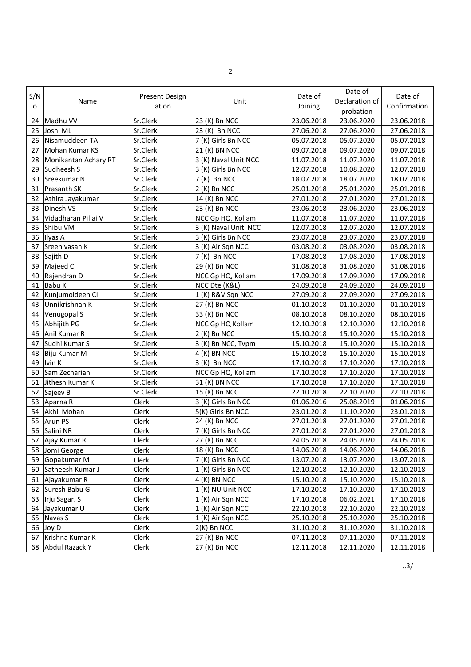|      |                      |                |                      |            | Date of        |              |
|------|----------------------|----------------|----------------------|------------|----------------|--------------|
| S/N  | Name                 | Present Design | Unit                 | Date of    | Declaration of | Date of      |
| o    |                      | ation          |                      | Joining    | probation      | Confirmation |
| 24   | Madhu VV             | Sr.Clerk       | 23 (K) Bn NCC        | 23.06.2018 | 23.06.2020     | 23.06.2018   |
| 25   | Joshi ML             | Sr.Clerk       | 23 (K) Bn NCC        | 27.06.2018 | 27.06.2020     | 27.06.2018   |
| 26   | Nisamuddeen TA       | Sr.Clerk       | 7 (K) Girls Bn NCC   | 05.07.2018 | 05.07.2020     | 05.07.2018   |
| 27   | Mohan Kumar KS       | Sr.Clerk       | 21 (K) BN NCC        | 09.07.2018 | 09.07.2020     | 09.07.2018   |
| 28   | Monikantan Achary RT | Sr.Clerk       | 3 (K) Naval Unit NCC | 11.07.2018 | 11.07.2020     | 11.07.2018   |
| 29   | Sudheesh S           | Sr.Clerk       | 3 (K) Girls Bn NCC   | 12.07.2018 | 10.08.2020     | 12.07.2018   |
| 30   | Sreekumar N          | Sr.Clerk       | $7(K)$ Bn NCC        | 18.07.2018 | 18.07.2020     | 18.07.2018   |
| 31   | <b>Prasanth SK</b>   | Sr.Clerk       | $2(K)$ Bn NCC        | 25.01.2018 | 25.01.2020     | 25.01.2018   |
| 32   | Athira Jayakumar     | Sr.Clerk       | 14 (K) Bn NCC        | 27.01.2018 | 27.01.2020     | 27.01.2018   |
| 33   | Dinesh VS            | Sr.Clerk       | 23 (K) Bn NCC        | 23.06.2018 | 23.06.2020     | 23.06.2018   |
| 34   | Vidadharan Pillai V  | Sr.Clerk       | NCC Gp HQ, Kollam    | 11.07.2018 | 11.07.2020     | 11.07.2018   |
| 35   | Shibu VM             | Sr.Clerk       | 3 (K) Naval Unit NCC | 12.07.2018 | 12.07.2020     | 12.07.2018   |
| 36   | Ilyas A              | Sr.Clerk       | 3 (K) Girls Bn NCC   | 23.07.2018 | 23.07.2020     | 23.07.2018   |
| 37   | Sreenivasan K        | Sr.Clerk       | 3 (K) Air Sqn NCC    | 03.08.2018 | 03.08.2020     | 03.08.2018   |
| 38   | Sajith D             | Sr.Clerk       | 7 (K) Bn NCC         | 17.08.2018 | 17.08.2020     | 17.08.2018   |
| 39   | Majeed C             | Sr.Clerk       | 29 (K) Bn NCC        | 31.08.2018 | 31.08.2020     | 31.08.2018   |
| 40   | Rajendran D          | Sr.Clerk       | NCC Gp HQ, Kollam    | 17.09.2018 | 17.09.2020     | 17.09.2018   |
| 41   | Babu K               | Sr.Clerk       | NCC Dte (K&L)        | 24.09.2018 | 24.09.2020     | 24.09.2018   |
| 42   | Kunjumoideen CI      | Sr.Clerk       | 1 (K) R&V Sqn NCC    | 27.09.2018 | 27.09.2020     | 27.09.2018   |
| 43   | Unnikrishnan K       | Sr.Clerk       | 27 (K) Bn NCC        | 01.10.2018 | 01.10.2020     | 01.10.2018   |
| 44   | Venugopal S          | Sr.Clerk       | 33 (K) Bn NCC        | 08.10.2018 | 08.10.2020     | 08.10.2018   |
| 45   | Abhijith PG          | Sr.Clerk       | NCC Gp HQ Kollam     | 12.10.2018 | 12.10.2020     | 12.10.2018   |
| 46   | Anil Kumar R         | Sr.Clerk       | $2(K)$ Bn NCC        | 15.10.2018 | 15.10.2020     | 15.10.2018   |
| 47   | Sudhi Kumar S        | Sr.Clerk       | 3 (K) Bn NCC, Tvpm   | 15.10.2018 | 15.10.2020     | 15.10.2018   |
| 48   | Biju Kumar M         | Sr.Clerk       | 4 (K) BN NCC         | 15.10.2018 | 15.10.2020     | 15.10.2018   |
| 49   | Ivin K               | Sr.Clerk       | $3(K)$ Bn NCC        | 17.10.2018 | 17.10.2020     | 17.10.2018   |
| 50   | Sam Zechariah        | Sr.Clerk       | NCC Gp HQ, Kollam    | 17.10.2018 | 17.10.2020     | 17.10.2018   |
| 51   | Jithesh Kumar K      | Sr.Clerk       | 31 (K) BN NCC        | 17.10.2018 | 17.10.2020     | 17.10.2018   |
| 52   | Sajeev B             | Sr.Clerk       | 15 (K) Bn NCC        | 22.10.2018 | 22.10.2020     | 22.10.2018   |
| 53   | Aparna R             | Clerk          | 3 (K) Girls Bn NCC   | 01.06.2016 | 25.08.2019     | 01.06.2016   |
| 54   | Akhil Mohan          | Clerk          | 5(K) Girls Bn NCC    | 23.01.2018 | 11.10.2020     | 23.01.2018   |
| 55   | Arun PS              | Clerk          | 24 (K) Bn NCC        | 27.01.2018 | 27.01.2020     | 27.01.2018   |
| 56   | Salini NR            | Clerk          | 7 (K) Girls Bn NCC   | 27.01.2018 | 27.01.2020     | 27.01.2018   |
|      | 57 Ajay Kumar R      | Clerk          | 27 (K) Bn NCC        | 24.05.2018 | 24.05.2020     | 24.05.2018   |
|      | 58 Jomi George       | Clerk          | 18 (K) Bn NCC        | 14.06.2018 | 14.06.2020     | 14.06.2018   |
|      | 59 Gopakumar M       | Clerk          | 7 (K) Girls Bn NCC   | 13.07.2018 | 13.07.2020     | 13.07.2018   |
|      | 60 Satheesh Kumar J  | Clerk          | 1 (K) Girls Bn NCC   | 12.10.2018 | 12.10.2020     | 12.10.2018   |
| 61   | Ajayakumar R         | Clerk          | 4 (K) BN NCC         | 15.10.2018 | 15.10.2020     | 15.10.2018   |
| 62   | Suresh Babu G        | Clerk          | 1 (K) NU Unit NCC    | 17.10.2018 | 17.10.2020     | 17.10.2018   |
|      | 63   Irju Sagar. S   | Clerk          | 1 (K) Air Sqn NCC    | 17.10.2018 | 06.02.2021     | 17.10.2018   |
| 64 I | Jayakumar U          | Clerk          | 1 (K) Air Sqn NCC    | 22.10.2018 | 22.10.2020     | 22.10.2018   |
| 65 I | Navas S              | Clerk          | 1 (K) Air Sqn NCC    | 25.10.2018 | 25.10.2020     | 25.10.2018   |
| 66   | Joy D                | Clerk          | $2(K)$ Bn NCC        | 31.10.2018 | 31.10.2020     | 31.10.2018   |
| 67   | Krishna Kumar K      | Clerk          | 27 (K) Bn NCC        | 07.11.2018 | 07.11.2020     | 07.11.2018   |
| 68   | Abdul Razack Y       | Clerk          | 27 (K) Bn NCC        | 12.11.2018 | 12.11.2020     | 12.11.2018   |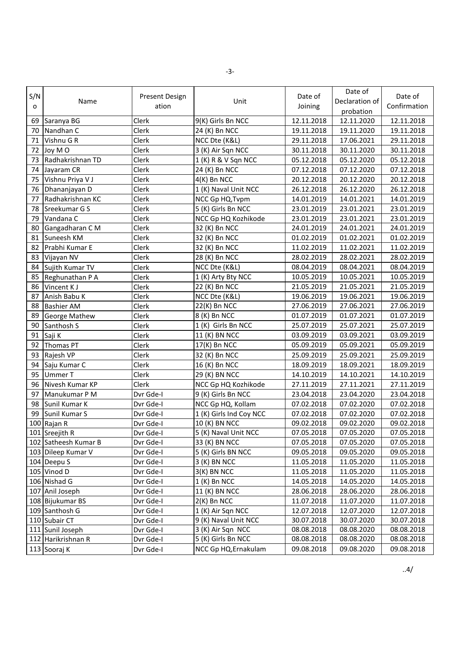| S/N<br>o | Name                 | Present Design<br>ation | Unit                    | Date of<br>Joining | Date of<br>Declaration of<br>probation | Date of<br>Confirmation |
|----------|----------------------|-------------------------|-------------------------|--------------------|----------------------------------------|-------------------------|
|          | 69 Saranya BG        | Clerk                   | 9(K) Girls Bn NCC       | 12.11.2018         | 12.11.2020                             | 12.11.2018              |
| 70       | Nandhan C            | Clerk                   | 24 (K) Bn NCC           | 19.11.2018         | 19.11.2020                             | 19.11.2018              |
| 71       | Vishnu G R           | Clerk                   | NCC Dte (K&L)           | 29.11.2018         | 17.06.2021                             | 29.11.2018              |
| 72       | Joy MO               | Clerk                   | 3 (K) Air Sqn NCC       | 30.11.2018         | 30.11.2020                             | 30.11.2018              |
| 73       | Radhakrishnan TD     | Clerk                   | 1 (K) R & V Sqn NCC     | 05.12.2018         | 05.12.2020                             | 05.12.2018              |
| 74       | Jayaram CR           | Clerk                   | 24 (K) Bn NCC           | 07.12.2018         | 07.12.2020                             | 07.12.2018              |
| 75       | Vishnu Priya V J     | Clerk                   | $4(K)$ Bn NCC           | 20.12.2018         | 20.12.2020                             | 20.12.2018              |
| 76       | Dhananjayan D        | Clerk                   | 1 (K) Naval Unit NCC    | 26.12.2018         | 26.12.2020                             | 26.12.2018              |
| 77       | Radhakrishnan KC     | Clerk                   | NCC Gp HQ, Tvpm         | 14.01.2019         | 14.01.2021                             | 14.01.2019              |
| 78       | Sreekumar G S        | Clerk                   | 5 (K) Girls Bn NCC      | 23.01.2019         | 23.01.2021                             | 23.01.2019              |
| 79       | Vandana C            | Clerk                   | NCC Gp HQ Kozhikode     | 23.01.2019         | 23.01.2021                             | 23.01.2019              |
| 80       | Gangadharan C M      | Clerk                   | 32 (K) Bn NCC           | 24.01.2019         | 24.01.2021                             | 24.01.2019              |
| 81       | Suneesh KM           | Clerk                   | 32 (K) Bn NCC           | 01.02.2019         | 01.02.2021                             | 01.02.2019              |
| 82       | Prabhi Kumar E       | Clerk                   | 32 (K) Bn NCC           | 11.02.2019         | 11.02.2021                             | 11.02.2019              |
| 83       | Vijayan NV           | Clerk                   | 28 (K) Bn NCC           | 28.02.2019         | 28.02.2021                             | 28.02.2019              |
| 84       | Sujith Kumar TV      | Clerk                   | NCC Dte (K&L)           | 08.04.2019         | 08.04.2021                             | 08.04.2019              |
| 85       | Reghunathan P A      | Clerk                   | 1 (K) Arty Bty NCC      | 10.05.2019         | 10.05.2021                             | 10.05.2019              |
| 86       | Vincent K J          | Clerk                   | 22 (K) Bn NCC           | 21.05.2019         | 21.05.2021                             | 21.05.2019              |
| 87       | Anish Babu K         | Clerk                   | NCC Dte (K&L)           | 19.06.2019         | 19.06.2021                             | 19.06.2019              |
| 88       | <b>Bashier AM</b>    | Clerk                   | 22(K) Bn NCC            | 27.06.2019         | 27.06.2021                             | 27.06.2019              |
| 89       | <b>George Mathew</b> | Clerk                   | 8 (K) Bn NCC            | 01.07.2019         | 01.07.2021                             | 01.07.2019              |
| 90       | Santhosh S           | Clerk                   | 1 (K) Girls Bn NCC      | 25.07.2019         | 25.07.2021                             | 25.07.2019              |
| 91       | Saji K               | Clerk                   | 11 (K) BN NCC           | 03.09.2019         | 03.09.2021                             | 03.09.2019              |
| 92       | <b>Thomas PT</b>     | Clerk                   | 17(K) Bn NCC            | 05.09.2019         | 05.09.2021                             | 05.09.2019              |
| 93       | Rajesh VP            | Clerk                   | 32 (K) Bn NCC           | 25.09.2019         | 25.09.2021                             | 25.09.2019              |
| 94       | Saju Kumar C         | Clerk                   | 16 (K) Bn NCC           | 18.09.2019         | 18.09.2021                             | 18.09.2019              |
| 95       | <b>Ummer T</b>       | Clerk                   | 29 (K) BN NCC           | 14.10.2019         | 14.10.2021                             | 14.10.2019              |
| 96       | Nivesh Kumar KP      | Clerk                   | NCC Gp HQ Kozhikode     | 27.11.2019         | 27.11.2021                             | 27.11.2019              |
| 97       | Manukumar P M        | Dvr Gde-I               | 9 (K) Girls Bn NCC      | 23.04.2018         | 23.04.2020                             | 23.04.2018              |
| 98       | Sunil Kumar K        | Dvr Gde-I               | NCC Gp HQ, Kollam       | 07.02.2018         | 07.02.2020                             | 07.02.2018              |
| 99       | Sunil Kumar S        | Dvr Gde-I               | 1 (K) Girls Ind Coy NCC | 07.02.2018         | 07.02.2020                             | 07.02.2018              |
|          | 100 Rajan R          | Dvr Gde-I               | 10 (K) BN NCC           | 09.02.2018         | 09.02.2020                             | 09.02.2018              |
|          | 101 Sreejith R       | Dvr Gde-I               | 5 (K) Naval Unit NCC    | 07.05.2018         | 07.05.2020                             | 07.05.2018              |
|          | 102 Satheesh Kumar B | Dvr Gde-I               | 33 (K) BN NCC           | 07.05.2018         | 07.05.2020                             | 07.05.2018              |
|          | 103 Dileep Kumar V   | Dvr Gde-I               | 5 (K) Girls BN NCC      | 09.05.2018         | 09.05.2020                             | 09.05.2018              |
|          | 104 Deepu S          | Dvr Gde-I               | $3(K)$ BN NCC           | 11.05.2018         | 11.05.2020                             | 11.05.2018              |
|          | 105 Vinod D          | Dvr Gde-I               | $3(K)$ BN NCC           | 11.05.2018         | 11.05.2020                             | 11.05.2018              |
|          | 106 Nishad G         | Dvr Gde-I               | $1(K)$ Bn NCC           | 14.05.2018         | 14.05.2020                             | 14.05.2018              |
|          | 107 Anil Joseph      | Dvr Gde-I               | 11 (K) BN NCC           | 28.06.2018         | 28.06.2020                             | 28.06.2018              |
|          | 108 Bijukumar BS     | Dvr Gde-I               | $2(K)$ Bn NCC           | 11.07.2018         | 11.07.2020                             | 11.07.2018              |
|          | 109 Santhosh G       | Dvr Gde-I               | 1 (K) Air Sqn NCC       | 12.07.2018         | 12.07.2020                             | 12.07.2018              |
|          | 110 Subair CT        | Dvr Gde-I               | 9 (K) Naval Unit NCC    | 30.07.2018         | 30.07.2020                             | 30.07.2018              |
|          | 111 Sunil Joseph     | Dvr Gde-I               | 3 (K) Air Sqn NCC       | 08.08.2018         | 08.08.2020                             | 08.08.2018              |
|          | 112 Harikrishnan R   | Dvr Gde-I               | 5 (K) Girls Bn NCC      | 08.08.2018         | 08.08.2020                             | 08.08.2018              |
|          | 113 Sooraj K         | Dvr Gde-I               | NCC Gp HQ, Ernakulam    | 09.08.2018         | 09.08.2020                             | 09.08.2018              |